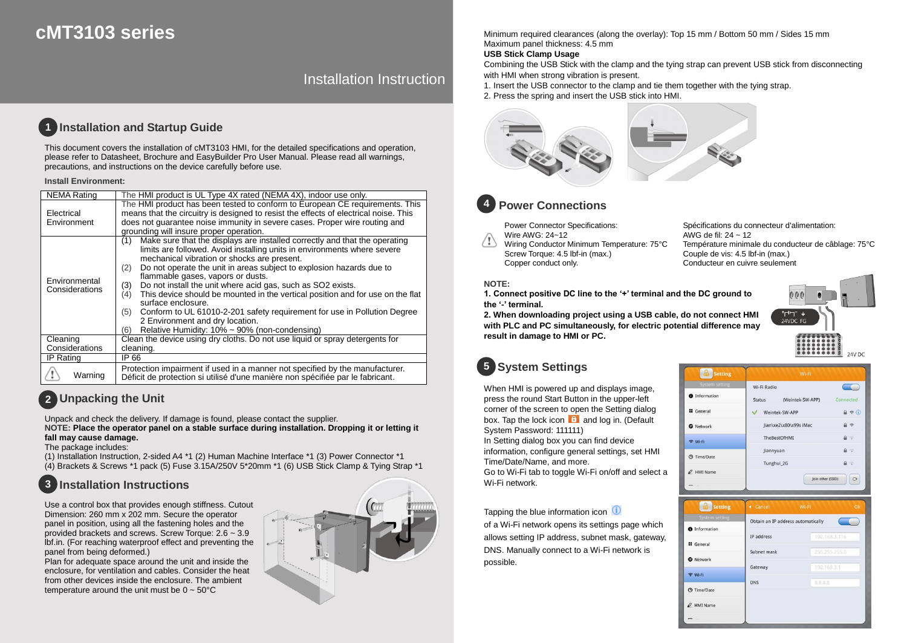# **cMT3103 series**

## Installation Instruction

#### **Installation and Startup Guide 1**

This document covers the installation of cMT3103 HMI, for the detailed specifications and operation, please refer to Datasheet, Brochure and EasyBuilder Pro User Manual. Please read all warnings, precautions, and instructions on the device carefully before use.

### **Install Environment:**

| <b>NEMA</b> Rating              | The HMI product is UL Type 4X rated (NEMA 4X), indoor use only.                                                                                                                                                                                                                                                                                                                                                                                                                                                                                                                                                                                                                                     |  |
|---------------------------------|-----------------------------------------------------------------------------------------------------------------------------------------------------------------------------------------------------------------------------------------------------------------------------------------------------------------------------------------------------------------------------------------------------------------------------------------------------------------------------------------------------------------------------------------------------------------------------------------------------------------------------------------------------------------------------------------------------|--|
| Electrical<br>Environment       | The HMI product has been tested to conform to European CE requirements. This<br>means that the circuitry is designed to resist the effects of electrical noise. This<br>does not quarantee noise immunity in severe cases. Proper wire routing and<br>grounding will insure proper operation.                                                                                                                                                                                                                                                                                                                                                                                                       |  |
| Environmental<br>Considerations | Make sure that the displays are installed correctly and that the operating<br>(1)<br>limits are followed. Avoid installing units in environments where severe<br>mechanical vibration or shocks are present.<br>Do not operate the unit in areas subject to explosion hazards due to<br>(2)<br>flammable gases, vapors or dusts.<br>Do not install the unit where acid gas, such as SO2 exists.<br>(3)<br>This device should be mounted in the vertical position and for use on the flat<br>(4)<br>surface enclosure.<br>Conform to UL 61010-2-201 safety requirement for use in Pollution Degree<br>(5)<br>2 Environment and dry location.<br>Relative Humidity: 10% ~ 90% (non-condensing)<br>(6) |  |
| Cleaning<br>Considerations      | Clean the device using dry cloths. Do not use liquid or spray detergents for<br>cleaning.                                                                                                                                                                                                                                                                                                                                                                                                                                                                                                                                                                                                           |  |
| IP Rating                       | IP 66                                                                                                                                                                                                                                                                                                                                                                                                                                                                                                                                                                                                                                                                                               |  |
| Warning                         | Protection impairment if used in a manner not specified by the manufacturer.<br>Déficit de protection si utilisé d'une manière non spécifiée par le fabricant.                                                                                                                                                                                                                                                                                                                                                                                                                                                                                                                                      |  |

## **Unpacking the Unit 2**

Unpack and check the delivery. If damage is found, please contact the supplier.

**NOTE: Place the operator panel on a stable surface during installation. Dropping it or letting it fall may cause damage.**

## The package includes:

(1) Installation Instruction, 2-sided A4 \*1 (2) Human Machine Interface \*1 (3) Power Connector \*1 (4) Brackets & Screws \*1 pack (5) Fuse 3.15A/250V 5\*20mm \*1 (6) USB Stick Clamp & Tying Strap \*1

### **Installation Instructions 3**

Use a control box that provides enough stiffness. Cutout Dimension: 260 mm x 202 mm. Secure the operator panel in position, using all the fastening holes and the provided brackets and screws. Screw Torque: 2.6 ~ 3.9 lbf.in. (For reaching waterproof effect and preventing the panel from being deformed.)

Plan for adequate space around the unit and inside the enclosure, for ventilation and cables. Consider the heat from other devices inside the enclosure. The ambient temperature around the unit must be  $0 \sim 50^{\circ}$ C



Minimum required clearances (along the overlay): Top 15 mm / Bottom 50 mm / Sides 15 mm Maximum panel thickness: 4.5 mm

## **USB Stick Clamp Usage**

Combining the USB Stick with the clamp and the tying strap can prevent USB stick from disconnecting with HMI when strong vibration is present.

- 1. Insert the USB connector to the clamp and tie them together with the tying strap.
- 2. Press the spring and insert the USB stick into HMI.



### **Power Connections 4**

Power Connector Specifications: Wire AWG: 24~12

 $\langle \cdot | \cdot \rangle$ Wiring Conductor Minimum Temperature: 75°C Screw Torque: 4.5 lbf-in (max.) Copper conduct only.

Spécifications du connecteur d'alimentation: AWG de fil: 24 ~ 12 Température minimale du conducteur de câblage: 75°C Couple de vis: 4.5 lbf-in (max.) Conducteur en cuivre seulement

### **NOTE:**

**1. Connect positive DC line to the '+' terminal and the DC ground to the '-' terminal.**

**2. When downloading project using a USB cable, do not connect HMI with PLC and PC simultaneously, for electric potential difference may result in damage to HMI or PC.**

# **System Settings 5**

When HMI is powered up and displays image, press the round Start Button in the upper-left corner of the screen to open the Setting dialog box. Tap the lock icon  $\theta$  and log in. (Default System Password: 111111)

In Setting dialog box you can find device information, configure general settings, set HMI Time/Date/Name, and more.

Go to Wi-Fi tab to toggle Wi-Fi on/off and select a Wi-Fi network.

Tapping the blue information icon

of a Wi-Fi network opens its settings page which allows setting IP address, subnet mask, gateway, DNS. Manually connect to a Wi-Fi network is possible.